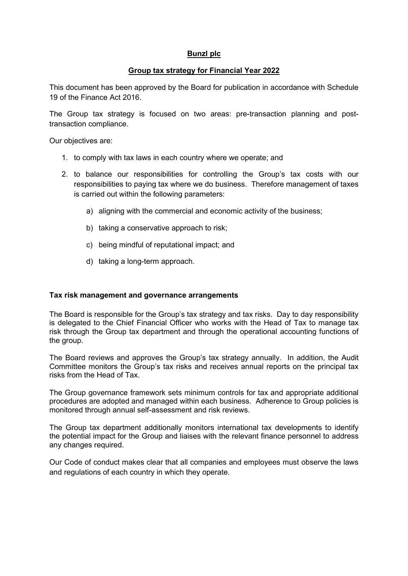## **Bunzl plc**

## **Group tax strategy for Financial Year 2022**

This document has been approved by the Board for publication in accordance with Schedule 19 of the Finance Act 2016.

The Group tax strategy is focused on two areas: pre-transaction planning and posttransaction compliance.

Our objectives are:

- 1. to comply with tax laws in each country where we operate; and
- 2. to balance our responsibilities for controlling the Group's tax costs with our responsibilities to paying tax where we do business. Therefore management of taxes is carried out within the following parameters:
	- a) aligning with the commercial and economic activity of the business;
	- b) taking a conservative approach to risk;
	- c) being mindful of reputational impact; and
	- d) taking a long-term approach.

#### **Tax risk management and governance arrangements**

The Board is responsible for the Group's tax strategy and tax risks. Day to day responsibility is delegated to the Chief Financial Officer who works with the Head of Tax to manage tax risk through the Group tax department and through the operational accounting functions of the group.

The Board reviews and approves the Group's tax strategy annually. In addition, the Audit Committee monitors the Group's tax risks and receives annual reports on the principal tax risks from the Head of Tax.

The Group governance framework sets minimum controls for tax and appropriate additional procedures are adopted and managed within each business. Adherence to Group policies is monitored through annual self-assessment and risk reviews.

The Group tax department additionally monitors international tax developments to identify the potential impact for the Group and liaises with the relevant finance personnel to address any changes required.

Our Code of conduct makes clear that all companies and employees must observe the laws and regulations of each country in which they operate.